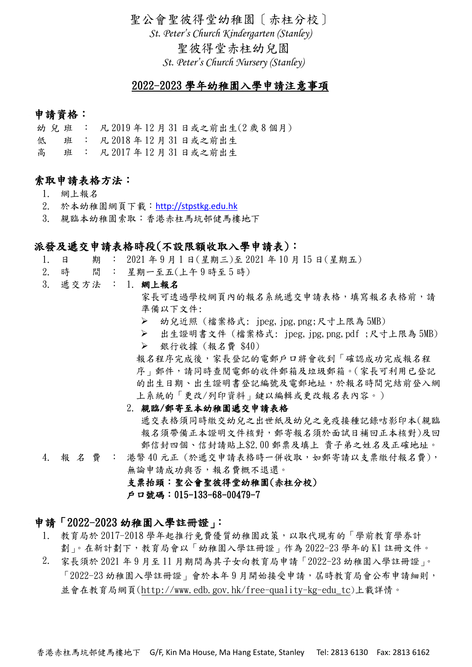聖公會聖彼得堂幼稚園〔赤柱分校〕 *St. Peter's Church Kindergarten (Stanley)* 聖彼得堂赤柱幼兒園 *St. Peter's Church Nursery (Stanley)*

## 2022-2023 學年幼稚園入學申請注意事項

## 申請資格:

- 幼兒班 : 凡 2019 年 12 月 31 日或之前出生(2 歲 8 個月)
- 低 班 : 凡 2018 年 12 月 31 日或之前出生
- 高 班 : 凡 2017 年 12 月 31 日或之前出生

## 索取申請表格方法:

- 1. 網上報名
- 2. 於本幼稚園網頁下載:[http://stpstkg.edu.hk](http://stpstkg.edu.hk/)
- 3. 親臨本幼稚園索取:香港赤柱馬坑邨健馬樓地下

### 派發及遞交申請表格時段(不設限額收取入學申請表):

- 1. 日 期 : 2021 年 9 月 1 日(星期三)至 2021 年 10 月 15 日(星期五)
- 2. 時 間 : 星期一至五(上午 9 時至 5 時)
- 3. 遞交方法 : 1. 網上報名

家長可透過學校網頁內的報名系統遞交申請表格,填寫報名表格前,請 準備以下文件:

➢ 幼兒近照 (檔案格式: jpeg,jpg,png;尺寸上限為 5MB)

➢ 出生證明書文件 (檔案格式: jpeg,jpg,png,pdf ;尺寸上限為 5MB) ➢ 銀行收據 (報名費 \$40)

報名程序完成後,家長登記的電郵戶口將會收到「確認成功完成報名程 序」郵件,請同時查閱電郵的收件郵箱及垃圾郵箱。(家長可利用已登記 的出生日期、出生證明書登記編號及電郵地址,於報名時間完結前登入網 上系統的「更改/列印資料」鍵以編輯或更改報名表內容。)

#### 2. 親臨/郵寄至本幼稚園遞交申請表格

遞交表格須同時繳交幼兒之出世紙及幼兒之免疫接種記錄咭影印本(親臨 報名須帶備正本證明文件核對,郵寄報名須於面試日補回正本核對)及回 郵信封四個、信封請貼上\$2.00 郵票及填上 貴子弟之姓名及正確地址。

4. 報名費 : 港幣 40 元正 (於遞交申請表格時一併收取,如郵寄請以支票繳付報名費), 無論申請成功與否,報名費概不退還。 支票抬頭:聖公會聖彼得堂幼稚園(赤柱分校)

戶口號碼:015-133-68-00479-7

### 申請「2022-2023 幼稚園入學註冊證」:

- 1. 教育局於 2017-2018 學年起推行免費優質幼稚園政策,以取代現有的「學前教育學券計 劃」。在新計劃下,教育局會以「幼稚園入學註冊證」作為 2022-23 學年的 K1 註冊文件。
- 2. 家長須於 2021 年 9 月至 11 月期間為其子女向教育局申請「2022-23 幼稚園入學註冊證」。 「2022-23 幼稚園入學註冊證」會於本年9月開始接受申請, 屆時教育局會公布申請細則, 並會在教育局網頁[\(http://www.edb.gov.hk/free-quality-kg-edu\\_tc](https://www.edb.gov.hk/free-quality-kg-edu_tc))上載詳情。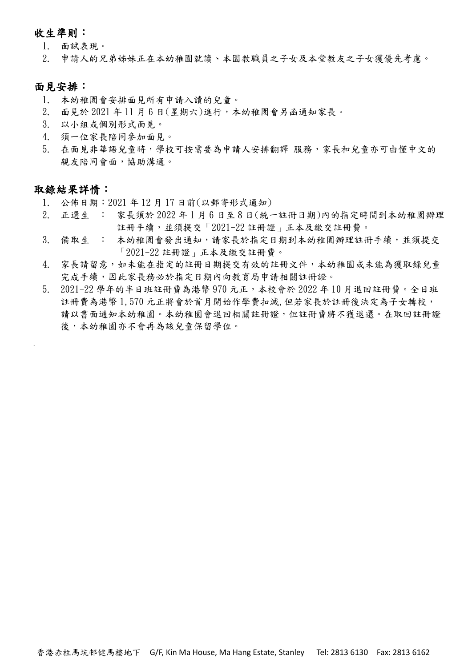### 收生準則:

- 1. 面試表現。
- 2. 申請人的兄弟姊妹正在本幼稚園就讀、本園教職員之子女及本堂教友之子女獲優先考慮。

### 面見安排:

- 1. 本幼稚園會安排面見所有申請入讀的兒童。
- 2. 面見於 2021 年 11 月 6 日(星期六)進行,本幼稚園會另函通知家長。
- 3. 以小組或個別形式面見。
- 4. 須一位家長陪同參加面見。
- 5. 在面見非華語兒童時,學校可按需要為申請人安排翻譯 服務,家長和兒童亦可由懂中文的 親友陪同會面,協助溝通。

### 取錄結果詳情:

- 1. 公佈日期:2021 年 12 月 17 日前(以郵寄形式通知)
- 2. 正選生 : 家長須於 2022 年 1 月 6 日至 8 日(統一註冊日期)內的指定時間到本幼稚園辦理 註冊手續,並須提交「2021-22 註冊證」正本及繳交註冊費。
- 3. 備取生 : 本幼稚園會發出通知,請家長於指定日期到本幼稚園辦理註冊手續,並須提交 「2021-22 註冊證」正本及繳交註冊費。
- 4. 家長請留意,如未能在指定的註冊日期提交有效的註冊文件,本幼稚園或未能為獲取錄兒童 完成手續,因此家長務必於指定日期內向教育局申請相關註冊證。
- 5. 2021-22 學年的半日班註冊費為港幣 970 元正,本校會於 2022 年 10 月退回註冊費。全日班 註冊費為港幣 1,570 元正將會於首月開始作學費扣減,但若家長於註冊後決定為子女轉校, 請以書面通知本幼稚園。求幼稚園會退回相關註冊證,但註冊費將不獲退還。在取回註冊證 後,本幼稚園亦不會再為該兒童保留學位。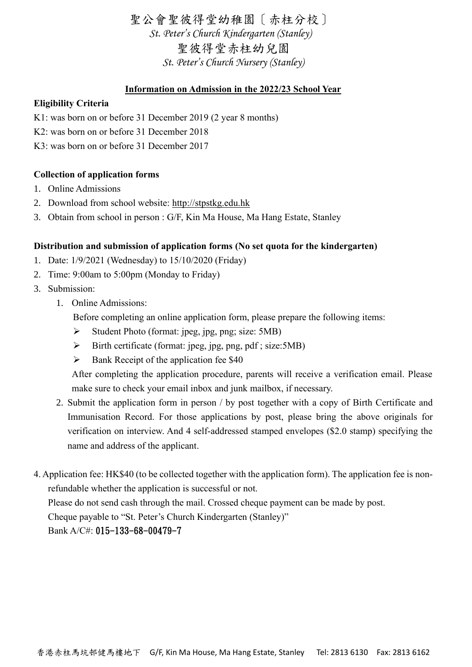聖公會聖彼得堂幼稚園〔赤柱分校〕 *St. Peter's Church Kindergarten (Stanley)* 聖彼得堂赤柱幼兒園 *St. Peter's Church Nursery (Stanley)*

## **Information on Admission in the 2022/23 School Year**

### **Eligibility Criteria**

- K1: was born on or before 31 December 2019 (2 year 8 months)
- K2: was born on or before 31 December 2018
- K3: was born on or before 31 December 2017

### **Collection of application forms**

- 1. Online Admissions
- 2. Download from school website: http://stpstkg.edu.hk
- 3. Obtain from school in person : G/F, Kin Ma House, Ma Hang Estate, Stanley

### **Distribution and submission of application forms (No set quota for the kindergarten)**

- 1. Date: 1/9/2021 (Wednesday) to 15/10/2020 (Friday)
- 2. Time: 9:00am to 5:00pm (Monday to Friday)
- 3. Submission:
	- 1. Online Admissions:
		- Before completing an online application form, please prepare the following items:
		- ➢ Student Photo (format: jpeg, jpg, png; size: 5MB)
		- $\triangleright$  Birth certificate (format: jpeg, jpg, png, pdf; size: 5MB)
		- $\triangleright$  Bank Receipt of the application fee \$40

 After completing the application procedure, parents will receive a verification email. Please make sure to check your email inbox and junk mailbox, if necessary.

- 2. Submit the application form in person / by post together with a copy of Birth Certificate and Immunisation Record. For those applications by post, please bring the above originals for verification on interview. And 4 self-addressed stamped envelopes (\$2.0 stamp) specifying the name and address of the applicant.
- 4. Application fee: HK\$40 (to be collected together with the application form). The application fee is nonrefundable whether the application is successful or not. Please do not send cash through the mail. Crossed cheque payment can be made by post. Cheque payable to "St. Peter's Church Kindergarten (Stanley)" Bank A/C#: 015-133-68-00479-7